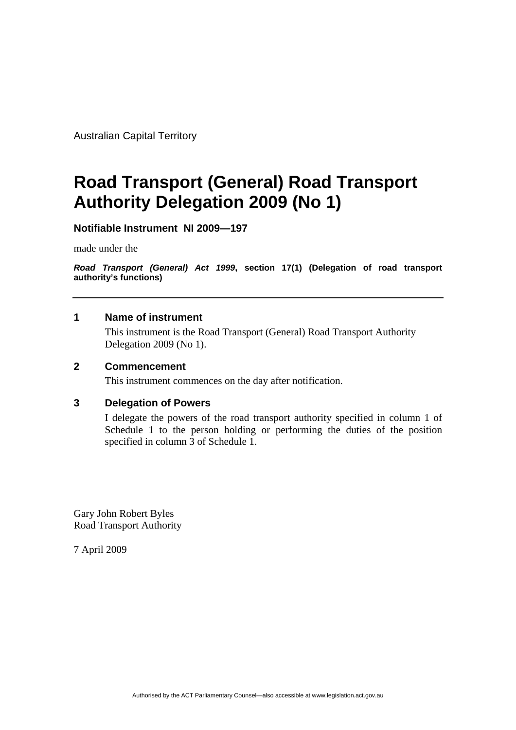Australian Capital Territory

# **Road Transport (General) Road Transport Authority Delegation 2009 (No 1)**

# **Notifiable Instrument NI 2009—197**

made under the

*Road Transport (General) Act 1999***, section 17(1) (Delegation of road transport authority's functions)**

## **1 Name of instrument**

This instrument is the Road Transport (General) Road Transport Authority Delegation 2009 (No 1).

### **2 Commencement**

This instrument commences on the day after notification.

# **3 Delegation of Powers**

I delegate the powers of the road transport authority specified in column 1 of Schedule 1 to the person holding or performing the duties of the position specified in column 3 of Schedule 1.

Gary John Robert Byles Road Transport Authority

7 April 2009